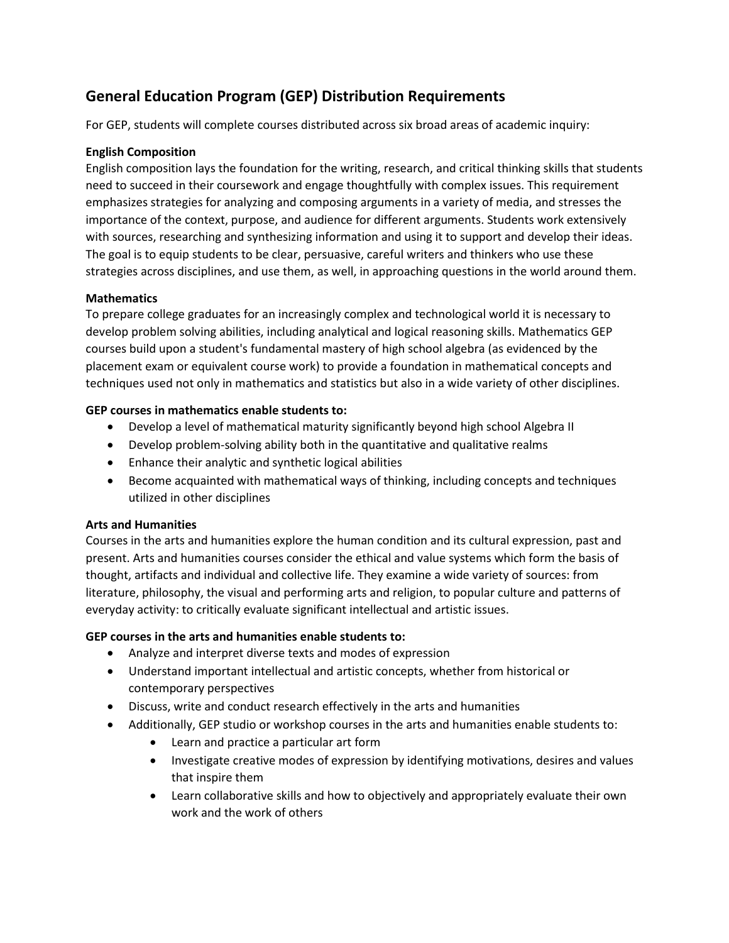# **General Education Program (GEP) Distribution Requirements.**

For GEP, students will complete courses distributed across six broad areas of academic inquiry:

### **English Composition.**

English composition lays the foundation for the writing, research, and critical thinking skills that students need to succeed in their coursework and engage thoughtfully with complex issues. This requirement emphasizes strategies for analyzing and composing arguments in a variety of media, and stresses the importance of the context, purpose, and audience for different arguments. Students work extensively with sources, researching and synthesizing information and using it to support and develop their ideas. The goal is to equip students to be clear, persuasive, careful writers and thinkers who use these strategies across disciplines, and use them, as well, in approaching questions in the world around them.

#### **Mathematics.**

To prepare college graduates for an increasingly complex and technological world it is necessary to develop problem solving abilities, including analytical and logical reasoning skills. Mathematics GEP courses build upon a student's fundamental mastery of high school algebra (as evidenced by the placement exam or equivalent course work) to provide a foundation in mathematical concepts and techniques used not only in mathematics and statistics but also in a wide variety of other disciplines.

#### **GEP courses in mathematics enable students to:**

- Develop a level of mathematical maturity significantly beyond high school Algebra II:
- Develop problem-solving ability both in the quantitative and qualitative realms:
- Enhance their analytic and synthetic logical abilities:
- Become acquainted with mathematical ways of thinking, including concepts and techniques utilized in other disciplines:

#### **Arts and Humanities.**

Courses in the arts and humanities explore the human condition and its cultural expression, past and present. Arts and humanities courses consider the ethical and value systems which form the basis of thought, artifacts and individual and collective life. They examine a wide variety of sources: from literature, philosophy, the visual and performing arts and religion, to popular culture and patterns of everyday activity: to critically evaluate significant intellectual and artistic issues.

#### **GEP courses in the arts and humanities enable students to:**

- Analyze and interpret diverse texts and modes of expression:
- Understand important intellectual and artistic concepts, whether from historical or contemporary perspectives:
- Discuss, write and conduct research effectively in the arts and humanities:
- Additionally, GEP studio or workshop courses in the arts and humanities enable students to:
	- Learn and practice a particular art form:
	- Investigate creative modes of expression by identifying motivations, desires and values that inspire them:
	- Learn collaborative skills and how to objectively and appropriately evaluate their own work and the work of others: